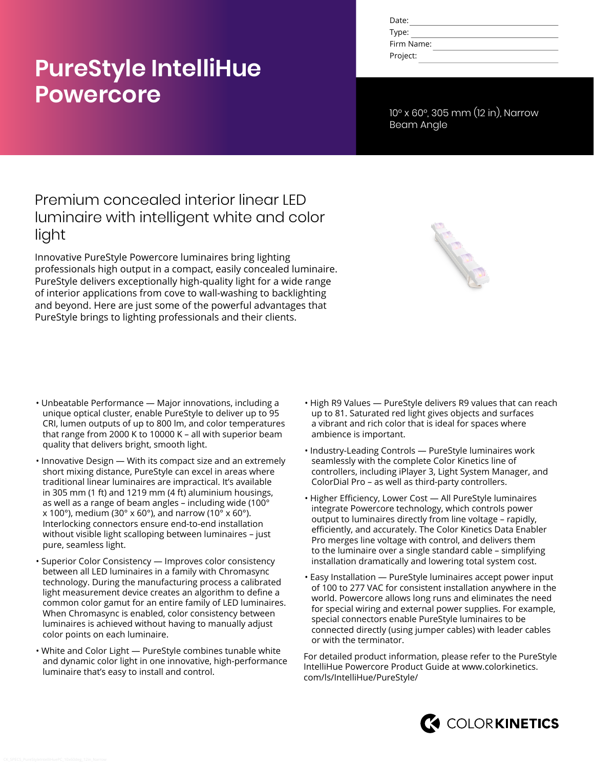# **PureStyle IntelliHue Powercore**

| Date:      |  |
|------------|--|
| Type:      |  |
| Firm Name: |  |
| Project:   |  |

10° x 60°, 305 mm (12 in), Narrow Beam Angle

## Premium concealed interior linear LED luminaire with intelligent white and color light

Innovative PureStyle Powercore luminaires bring lighting professionals high output in a compact, easily concealed luminaire. PureStyle delivers exceptionally high-quality light for a wide range of interior applications from cove to wall-washing to backlighting and beyond. Here are just some of the powerful advantages that PureStyle brings to lighting professionals and their clients.

- Unbeatable Performance Major innovations, including a unique optical cluster, enable PureStyle to deliver up to 95 CRI, lumen outputs of up to 800 lm, and color temperatures that range from 2000 K to 10000 K – all with superior beam quality that delivers bright, smooth light.
- Innovative Design With its compact size and an extremely short mixing distance, PureStyle can excel in areas where traditional linear luminaires are impractical. It's available in 305 mm (1 ft) and 1219 mm (4 ft) aluminium housings, as well as a range of beam angles - including wide (100 $^{\circ}$  $x$  100°), medium (30° x 60°), and narrow (10° x 60°). Interlocking connectors ensure end-to-end installation without visible light scalloping between luminaires – just pure, seamless light.
- Superior Color Consistency Improves color consistency between all LED luminaires in a family with Chromasync technology. During the manufacturing process a calibrated light measurement device creates an algorithm to define a common color gamut for an entire family of LED luminaires. When Chromasync is enabled, color consistency between luminaires is achieved without having to manually adjust color points on each luminaire.
- White and Color Light PureStyle combines tunable white and dynamic color light in one innovative, high-performance luminaire that's easy to install and control.
- High R9 Values PureStyle delivers R9 values that can reach up to 81. Saturated red light gives objects and surfaces a vibrant and rich color that is ideal for spaces where ambience is important.
- Industry-Leading Controls PureStyle luminaires work seamlessly with the complete Color Kinetics line of controllers, including iPlayer 3, Light System Manager, and ColorDial Pro – as well as third-party controllers.
- Higher Efficiency, Lower Cost All PureStyle luminaires integrate Powercore technology, which controls power output to luminaires directly from line voltage – rapidly, efficiently, and accurately. The Color Kinetics Data Enabler Pro merges line voltage with control, and delivers them to the luminaire over a single standard cable – simplifying installation dramatically and lowering total system cost.
- Easy Installation PureStyle luminaires accept power input of 100 to 277 VAC for consistent installation anywhere in the world. Powercore allows long runs and eliminates the need for special wiring and external power supplies. For example, special connectors enable PureStyle luminaires to be connected directly (using jumper cables) with leader cables or with the terminator.

For detailed product information, please refer to the PureStyle IntelliHue Powercore Product Guide at [www.colorkinetics.](http://www.colorkinetics.com/ls/IntelliHue/PureStyle/) [com/ls/IntelliHue/PureStyle/](http://www.colorkinetics.com/ls/IntelliHue/PureStyle/)

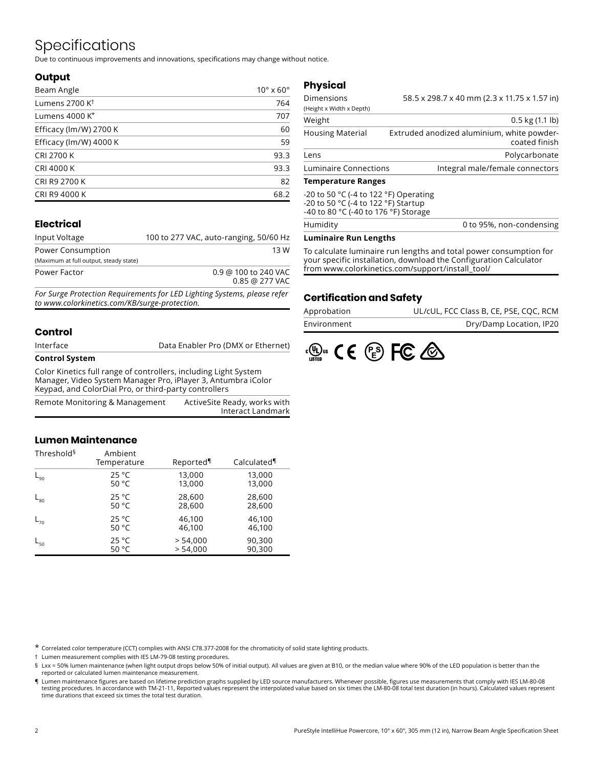# Specifications

Due to continuous improvements and innovations, specifications may change without notice.

#### **Output**

| Beam Angle                 | $10^{\circ}$ x 60 $^{\circ}$ |
|----------------------------|------------------------------|
| Lumens 2700 K <sup>t</sup> | 764                          |
| Lumens 4000 K*             | 707                          |
| Efficacy (lm/W) 2700 K     | 60                           |
| Efficacy (lm/W) 4000 K     | 59                           |
| <b>CRI 2700 K</b>          | 93.3                         |
| <b>CRI 4000 K</b>          | 93.3                         |
| CRI R9 2700 K              | 82                           |
| CRI R9 4000 K              | 68.2                         |

### **Electrical**

| Input Voltage                          | 100 to 277 VAC, auto-ranging, 50/60 Hz   |
|----------------------------------------|------------------------------------------|
| Power Consumption                      | 13 W                                     |
| (Maximum at full output, steady state) |                                          |
| Power Factor                           | 0.9 @ 100 to 240 VAC<br>$0.85$ @ 277 VAC |
|                                        |                                          |

*For Surge Protection Requirements for LED Lighting Systems, please refer to www.colorkinetics.com/KB/surge-protection.*

#### **Control**

| Interface             | Data Enabler Pro (DMX or Ethernet) |
|-----------------------|------------------------------------|
| <b>Control System</b> |                                    |

Color Kinetics full range of controllers, including Light System Manager, Video System Manager Pro, iPlayer 3, Antumbra iColor Keypad, and ColorDial Pro, or third-party controllers

| Remote Monitoring & Management | ActiveSite Ready, works with |
|--------------------------------|------------------------------|
|                                | Interact Landmark            |

#### **Lumen Maintenance**

| Threshold <sup>§</sup> | Ambient<br>Temperature | Reported | Calculated |
|------------------------|------------------------|----------|------------|
| $L_{90}$               | 25 °C                  | 13,000   | 13,000     |
|                        | 50 $^{\circ}$ C        | 13,000   | 13,000     |
| $L_{80}$               | 25 °C                  | 28,600   | 28,600     |
|                        | 50 $^{\circ}$ C        | 28,600   | 28,600     |
| $L_{70}$               | 25 °C                  | 46,100   | 46,100     |
|                        | 50 $^{\circ}$ C        | 46,100   | 46,100     |
| $L_{50}$               | 25 °C                  | > 54,000 | 90,300     |
|                        | 50 °C                  | > 54.000 | 90,300     |

### **Physical**

| <b>Temperature Ranges</b> |                                                             |
|---------------------------|-------------------------------------------------------------|
| Luminaire Connections     | Integral male/female connectors                             |
| Lens                      | Polycarbonate                                               |
| <b>Housing Material</b>   | Extruded anodized aluminium, white powder-<br>coated finish |
| Weight                    | $0.5$ kg $(1.1$ lb)                                         |
| (Height x Width x Depth)  | 58.5 x 298.7 x 40 mm (2.3 x 11.75 x 1.57 in)                |
| Dimensions                |                                                             |

| Humidity                                                                                                                                   | 0 to 95%, non-condensing |
|--------------------------------------------------------------------------------------------------------------------------------------------|--------------------------|
| $-20$ to 50 °C (-4 to 122 °F) Operating<br>-20 to 50 °C (-4 to 122 °F) Startup<br>-40 to 80 $^{\circ}$ C (-40 to 176 $^{\circ}$ F) Storage |                          |
|                                                                                                                                            |                          |

#### **Luminaire Run Lengths**

To calculate luminaire run lengths and total power consumption for your specific installation, download the Configuration Calculator from www.colorkinetics.com/support/install\_tool/

#### **Certification and Safety**

| Approbation | UL/cUL, FCC Class B, CE, PSE, COC, RCM |
|-------------|----------------------------------------|
| Environment | Dry/Damp Location, IP20                |



\* Correlated color temperature (CCT) complies with ANSI C78.377-2008 for the chromaticity of solid state lighting products.

† Lumen measurement complies with IES LM-79-08 testing procedures.

§ Lxx = 50% lumen maintenance (when light output drops below 50% of initial output). All values are given at B10, or the median value where 90% of the LED population is better than the reported or calculated lumen maintenance measurement.

¶ Lumen maintenance figures are based on lifetime prediction graphs supplied by LED source manufacturers. Whenever possible, figures use measurements that comply with IES LM-80-08 testing procedures. In accordance with TM-21-11, Reported values represent the interpolated value based on six times the LM-80-08 total test duration (in hours). Calculated values represent time durations that exceed six times the total test duration.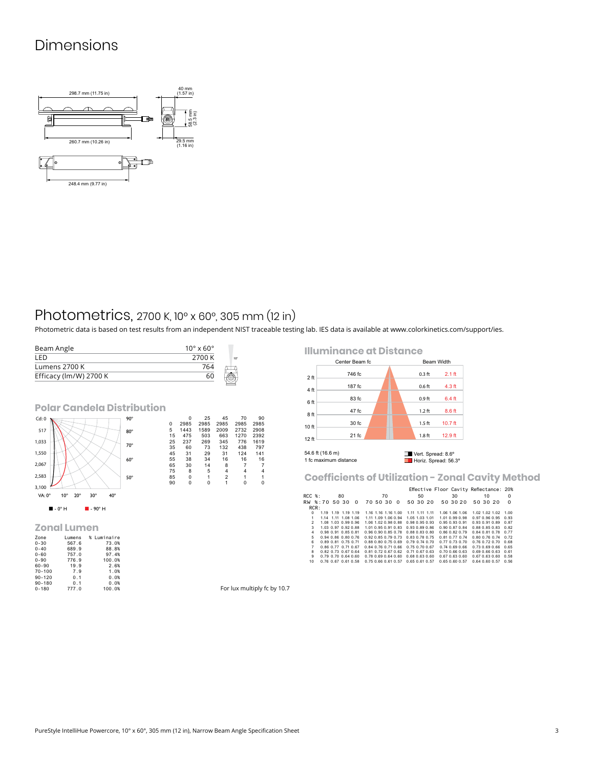### Dimensions



### Photometrics, 2700 K, 10° x 60°, 305 mm (12 in)

Photometric data is based on test results from an independent NIST traceable testing lab. IES data is available at [www.colorkinetics.com/support/ies.](http://www.colorkinetics.com/support/ies)

| Beam Angle             | $10^{\circ}$ x 60 $^{\circ}$ |                 |
|------------------------|------------------------------|-----------------|
| I FD                   | 2700 K                       | 10 <sup>o</sup> |
| Lumens 2700 K          | 764                          |                 |
| Efficacy (lm/W) 2700 K | 60                           |                 |

**Polar Candela Distribution**



#### **Zonal Lumen**

| Zone       | Lumens | % Luminaire |
|------------|--------|-------------|
| $0 - 30$   | 567.6  | 73.0%       |
| $0 - 40$   | 689.9  | 88.8%       |
| $0 - 60$   | 757.0  | 97.4%       |
| $0 - 90$   | 776.9  | 100.0%      |
| $60 - 90$  | 19.9   | 2.6%        |
| $70 - 100$ | 7.9    | 1.0%        |
| $90 - 120$ | 0.1    | 0.0%        |
| $90 - 180$ | 0.1    | 0.0%        |
| $0 - 180$  | 777.0  | 100.0%      |

**Illuminance at Distance**



**Coefficients of Utilization - Zonal Cavity Method**

|                |                             |    |                                    |                      |                |  | Effective Floor Cavity Reflectance: 20% |                             |          |
|----------------|-----------------------------|----|------------------------------------|----------------------|----------------|--|-----------------------------------------|-----------------------------|----------|
| $RCC$ %:       |                             | 80 | 70                                 |                      | 50             |  | 30                                      | 10                          | $\Omega$ |
|                | RW %:70 50 30 0             |    | 70 50 30 0                         |                      | 50 30 20       |  | 50 30 20                                | 50 30 20                    | $\Omega$ |
| RCR:           |                             |    |                                    |                      |                |  |                                         |                             |          |
| $\Omega$       | 1.19 1.19 1.19 1.19         |    | 1.16 1.16 1.16 1.00                |                      | 1.11 1.11 1.11 |  | 1.06 1.06 1.06                          | 1.02 1.02 1.02              | 1.00     |
| 1              | 1.14 1.11 1.08 1.06         |    | 1.11 1.09 1.06 0.94 1.05 1.03 1.01 |                      |                |  | 1.01.0.99.0.98                          | 0.97 0.96 0.95 0.93         |          |
| $\mathcal{P}$  | 1.08 1.03 0.99 0.96         |    | 1.06 1.02 0.98 0.88                | 0.98 0.95 0.93       |                |  | 0.95 0.93 0.91                          | 0.93 0.91 0.89 0.87         |          |
| 3              | 1.03 0.97 0.92 0.88         |    | 1.01 0.95 0.91 0.83                | 0.93 0.89 0.86       |                |  | 0.90 0.87 0.84                          | 0.88 0.85 0.83 0.82         |          |
| 4              | 0.98 0.91 0.85 0.81         |    | 0.96 0.90 0.85 0.78                | 0.88 0.83 0.80       |                |  | 0.86 0.82 0.79                          | 0.84 0.81 0.78 0.77         |          |
| 5              | 0.94 0.86 0.80 0.76         |    | 0.92 0.85 0.79 0.73                | 0.83 0.78 0.75       |                |  | 0.81 0.77 0.74                          | 0.80 0.76 0.74 0.72         |          |
| 6.             | 0.89 0.81 0.75 0.71         |    | 0.88 0.80 0.75 0.69                | $0.79$ $0.74$ $0.70$ |                |  | $0.77$ $0.73$ $0.70$                    | $0.76$ $0.72$ $0.70$ $0.68$ |          |
| $\overline{7}$ | 0.86 0.77 0.71 0.67         |    | 0.84 0.76 0.71 0.66                | $0.75$ $0.70$ $0.67$ |                |  | 0.740.690.66                            | 0.73 0.69 0.66 0.65         |          |
| 8              | 0.82 0.73 0.67 0.64         |    | 0.81 0.72 0.67 0.62                | 0.71 0.67 0.63       |                |  | $0.70$ $0.66$ $0.63$                    | 0.69 0.66 0.63 0.61         |          |
| 9              | $0.79$ $0.70$ $0.64$ $0.60$ |    | 0.78 0.69 0.64 0.60                | 0.68 0.63 0.60       |                |  | 0.67 0.63 0.60                          | 0.67 0.63 0.60 0.58         |          |
| 10             | 0.76 0.67 0.61 0.58         |    | 0.75 0.66 0.61 0.57 0.65 0.61 0.57 |                      |                |  | 0.65 0.60 0.57                          | 0.64 0.60 0.57 0.56         |          |

For lux multiply fc by 10.7